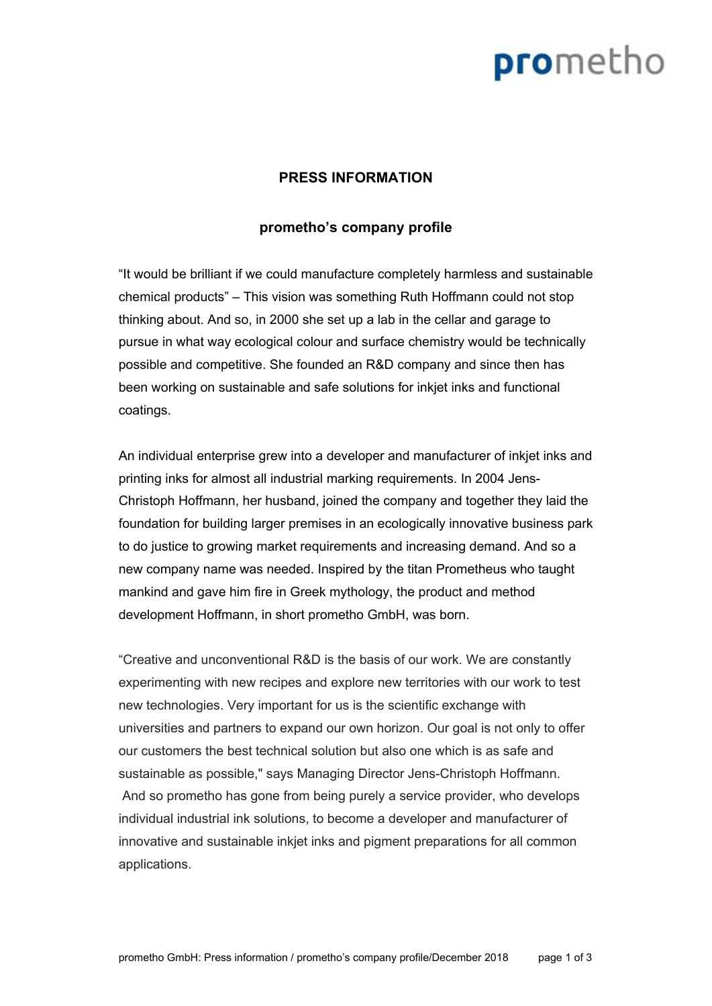# prometho

### **PRESS INFORMATION**

#### **promethos company profile**

It would be brilliant if we could manufacture completely harmless and sustainable chemical products" - This vision was something Ruth Hoffmann could not stop thinking about. And so, in 2000 she set up a lab in the cellar and garage to pursue in what way ecological colour and surface chemistry would be technically possible and competitive. She founded an R&D company and since then has been working on sustainable and safe solutions for inkjet inks and functional coatings.

An individual enterprise grew into a developer and manufacturer of inkjet inks and printing inks for almost all industrial marking requirements. In 2004 Jens-Christoph Hoffmann, her husband, joined the company and together they laid the foundation for building larger premises in an ecologically innovative business park to do justice to growing market requirements and increasing demand. And so a new company name was needed. Inspired by the titan Prometheus who taught mankind and gave him fire in Greek mythology, the product and method development Hoffmann, in short prometho GmbH, was born.

Creative and unconventional R&D is the basis of our work. We are constantly experimenting with new recipes and explore new territories with our work to test new technologies. Very important for us is the scientific exchange with universities and partners to expand our own horizon. Our goal is not only to offer our customers the best technical solution but also one which is as safe and sustainable as possible," says Managing Director Jens-Christoph Hoffmann. And so prometho has gone from being purely a service provider, who develops individual industrial ink solutions, to become a developer and manufacturer of innovative and sustainable inkjet inks and pigment preparations for all common applications.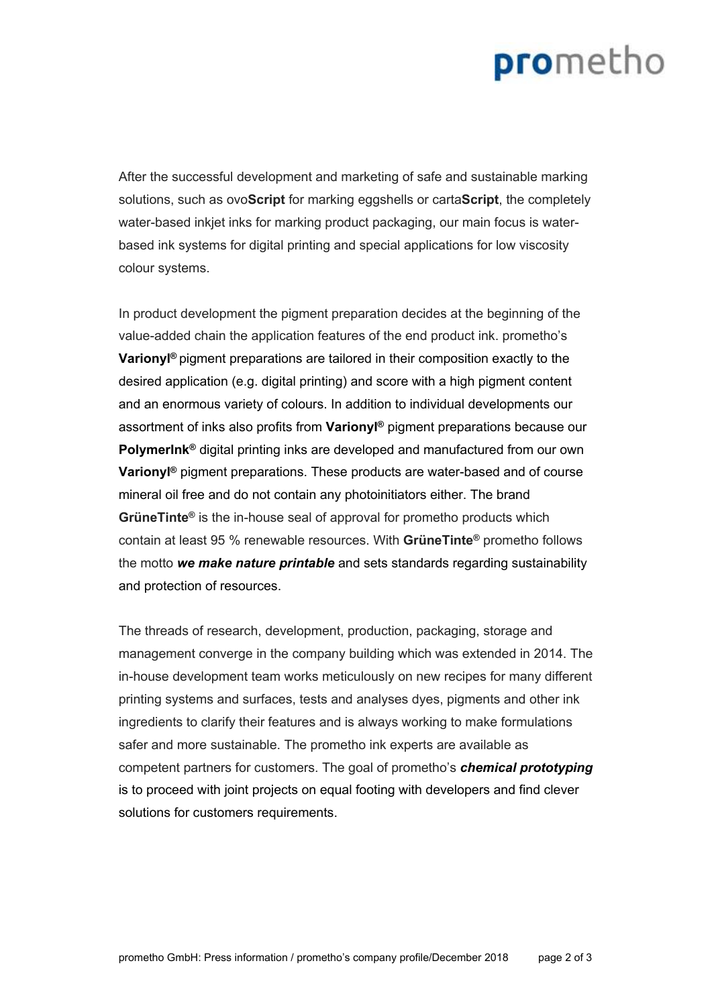## prometho

After the successful development and marketing of safe and sustainable marking solutions, such as ovo**Script** for marking eggshells or carta**Script**, the completely water-based inkjet inks for marking product packaging, our main focus is waterbased ink systems for digital printing and special applications for low viscosity colour systems.

In product development the pigment preparation decides at the beginning of the value-added chain the application features of the end product ink. prometho's **Varionyl ®** pigment preparations are tailored in their composition exactly to the desired application (e.g. digital printing) and score with a high pigment content and an enormous variety of colours. In addition to individual developments our assortment of inks also profits from **Varionyl ®** pigment preparations because our **PolymerInk ®** digital printing inks are developed and manufactured from our own **Varionyl ®** pigment preparations. These products are water-based and of course mineral oil free and do not contain any photoinitiators either. The brand **GrüneTinte ®** is the in-house seal of approval for prometho products which contain at least 95 % renewable resources. With **GrüneTinte ®** prometho follows the motto *we make nature printable* and sets standards regarding sustainability and protection of resources.

The threads of research, development, production, packaging, storage and management converge in the company building which was extended in 2014. The in-house development team works meticulously on new recipes for many different printing systems and surfaces, tests and analyses dyes, pigments and other ink ingredients to clarify their features and is always working to make formulations safer and more sustainable. The prometho ink experts are available as competent partners for customers. The goal of prometho's *chemical prototyping* is to proceed with joint projects on equal footing with developers and find clever solutions for customers requirements.